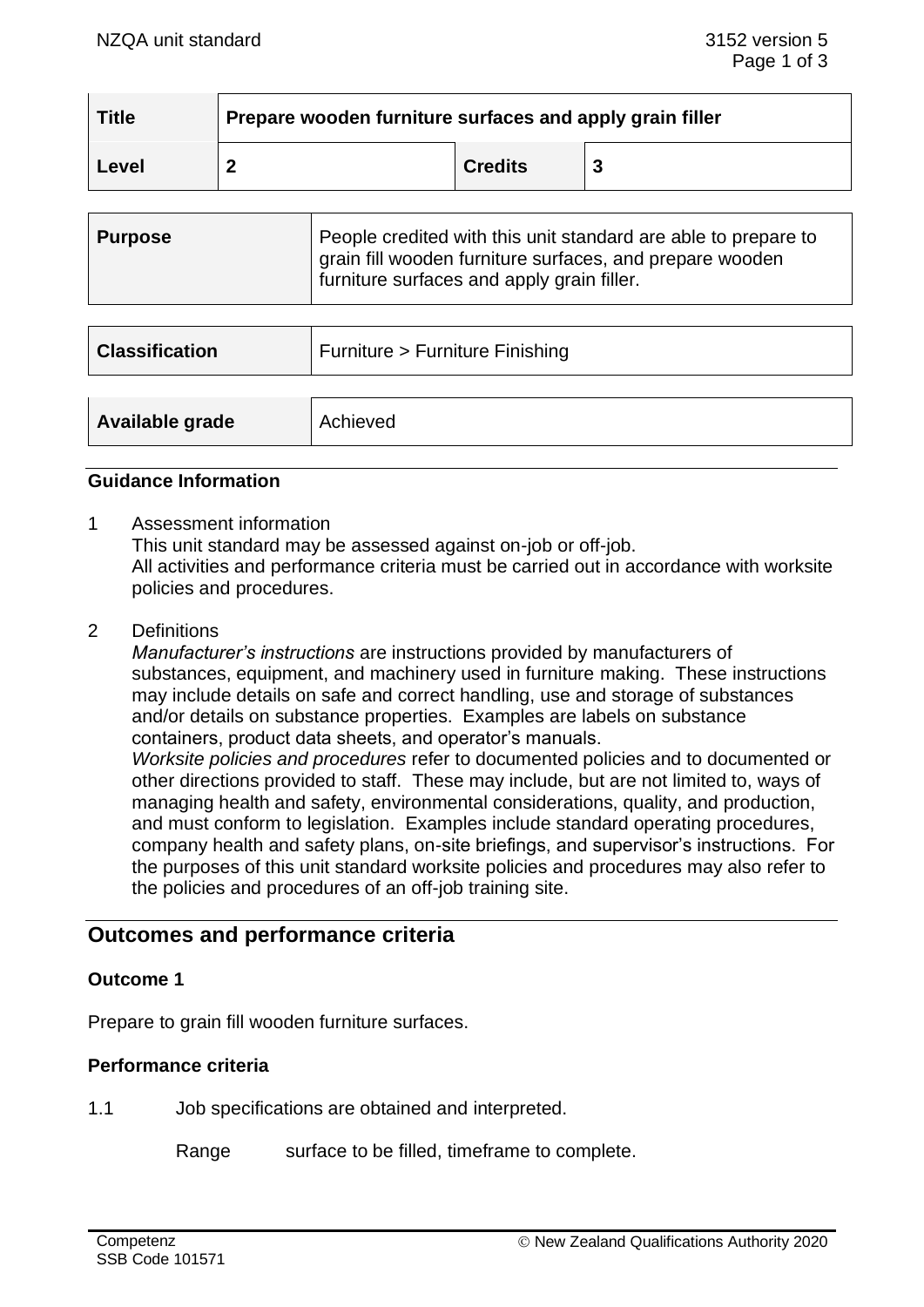| <b>Title</b> | Prepare wooden furniture surfaces and apply grain filler |                |  |  |
|--------------|----------------------------------------------------------|----------------|--|--|
| Level        |                                                          | <b>Credits</b> |  |  |

| ∣ Purpose | People credited with this unit standard are able to prepare to<br>grain fill wooden furniture surfaces, and prepare wooden |
|-----------|----------------------------------------------------------------------------------------------------------------------------|
|           | furniture surfaces and apply grain filler.                                                                                 |

| <b>Classification</b> | Furniture > Furniture Finishing |
|-----------------------|---------------------------------|
| Available grade       | Achieved                        |

#### **Guidance Information**

- 1 Assessment information This unit standard may be assessed against on-job or off-job. All activities and performance criteria must be carried out in accordance with worksite policies and procedures.
- 2 Definitions

*Manufacturer's instructions* are instructions provided by manufacturers of substances, equipment, and machinery used in furniture making. These instructions may include details on safe and correct handling, use and storage of substances and/or details on substance properties. Examples are labels on substance containers, product data sheets, and operator's manuals. *Worksite policies and procedures* refer to documented policies and to documented or other directions provided to staff. These may include, but are not limited to, ways of managing health and safety, environmental considerations, quality, and production, and must conform to legislation. Examples include standard operating procedures, company health and safety plans, on-site briefings, and supervisor's instructions. For the purposes of this unit standard worksite policies and procedures may also refer to the policies and procedures of an off-job training site.

# **Outcomes and performance criteria**

#### **Outcome 1**

Prepare to grain fill wooden furniture surfaces.

## **Performance criteria**

1.1 Job specifications are obtained and interpreted.

Range surface to be filled, timeframe to complete.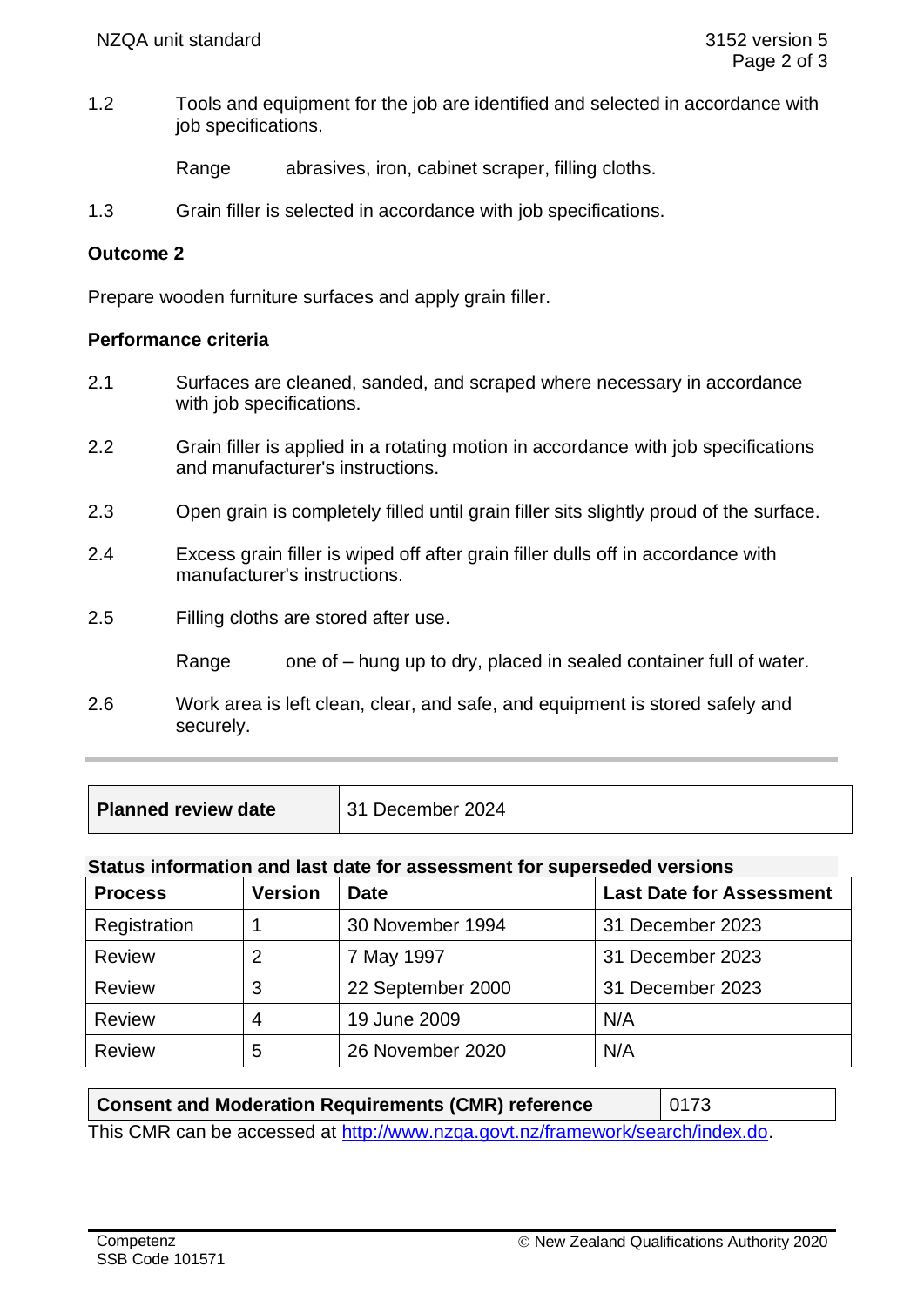1.2 Tools and equipment for the job are identified and selected in accordance with job specifications.

Range abrasives, iron, cabinet scraper, filling cloths.

1.3 Grain filler is selected in accordance with job specifications.

## **Outcome 2**

Prepare wooden furniture surfaces and apply grain filler.

#### **Performance criteria**

- 2.1 Surfaces are cleaned, sanded, and scraped where necessary in accordance with job specifications.
- 2.2 Grain filler is applied in a rotating motion in accordance with job specifications and manufacturer's instructions.
- 2.3 Open grain is completely filled until grain filler sits slightly proud of the surface.
- 2.4 Excess grain filler is wiped off after grain filler dulls off in accordance with manufacturer's instructions.
- 2.5 Filling cloths are stored after use.
	- Range one of hung up to dry, placed in sealed container full of water.
- 2.6 Work area is left clean, clear, and safe, and equipment is stored safely and securely.

| Planned review date | 31 December 2024 |
|---------------------|------------------|
|---------------------|------------------|

## **Status information and last date for assessment for superseded versions**

| <b>Process</b> | <b>Version</b> | <b>Date</b>       | <b>Last Date for Assessment</b> |
|----------------|----------------|-------------------|---------------------------------|
| Registration   |                | 30 November 1994  | 31 December 2023                |
| <b>Review</b>  |                | 7 May 1997        | 31 December 2023                |
| <b>Review</b>  | 3              | 22 September 2000 | 31 December 2023                |
| <b>Review</b>  | 4              | 19 June 2009      | N/A                             |
| <b>Review</b>  | 5              | 26 November 2020  | N/A                             |

| <b>Consent and Moderation Requirements (CMR) reference</b>                     | $\vert$ 0173 |  |  |  |
|--------------------------------------------------------------------------------|--------------|--|--|--|
| This CMR can be accessed at http://www.nzga.govt.nz/framework/search/index.do. |              |  |  |  |

**Competenz** SSB Code 101571